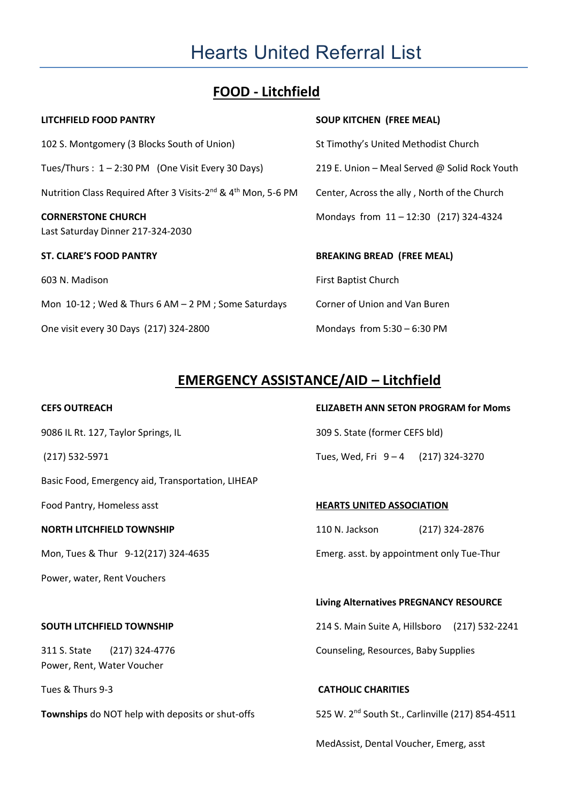# Hearts United Referral List

# **FOOD - Litchfield**

| <b>SOUP KITCHEN (FREE MEAL)</b>               |
|-----------------------------------------------|
| St Timothy's United Methodist Church          |
| 219 E. Union – Meal Served @ Solid Rock Youth |
| Center, Across the ally, North of the Church  |
| Mondays from 11-12:30 (217) 324-4324          |
|                                               |
| <b>BREAKING BREAD (FREE MEAL)</b>             |
| <b>First Baptist Church</b>                   |
| Corner of Union and Van Buren                 |
| Mondays from $5:30 - 6:30$ PM                 |
|                                               |

# **EMERGENCY ASSISTANCE/AID – Litchfield**

| 9086 IL Rt. 127, Taylor Springs, IL                       | 309 S. State (former CEFS bld)                               |
|-----------------------------------------------------------|--------------------------------------------------------------|
| $(217) 532 - 5971$                                        | Tues, Wed, Fri 9-4 (217) 324-3270                            |
| Basic Food, Emergency aid, Transportation, LIHEAP         |                                                              |
| Food Pantry, Homeless asst                                | <b>HEARTS UNITED ASSOCIATION</b>                             |
| <b>NORTH LITCHFIELD TOWNSHIP</b>                          | 110 N. Jackson<br>$(217)$ 324-2876                           |
| Mon, Tues & Thur 9-12(217) 324-4635                       | Emerg. asst. by appointment only Tue-Thur                    |
| Power, water, Rent Vouchers                               |                                                              |
|                                                           | <b>Living Alternatives PREGNANCY RESOURCE</b>                |
| <b>SOUTH LITCHFIELD TOWNSHIP</b>                          | 214 S. Main Suite A, Hillsboro (217) 532-2241                |
| 311 S. State (217) 324-4776<br>Power, Rent, Water Voucher | Counseling, Resources, Baby Supplies                         |
| Tues & Thurs 9-3                                          | <b>CATHOLIC CHARITIES</b>                                    |
| Townships do NOT help with deposits or shut-offs          | 525 W. 2 <sup>nd</sup> South St., Carlinville (217) 854-4511 |

## **CEFS OUTREACH ELIZABETH ANN SETON PROGRAM for Moms**

### **Living Alternatives PREGNANCY RESOURCE**

MedAssist, Dental Voucher, Emerg, asst